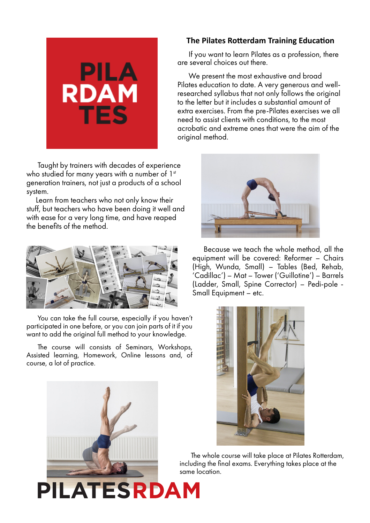

Taught by trainers with decades of experience who studied for many years with a number of 1st generation trainers, not just a products of a school system.

Learn from teachers who not only know their stuff, but teachers who have been doing it well and with ease for a very long time, and have reaped the benefits of the method.



You can take the full course, especially if you haven't participated in one before, or you can join parts of it if you want to add the original full method to your knowledge.

The course will consists of Seminars, Workshops, Assisted learning, Homework, Online lessons and, of course, a lot of practice.

**PILATESRDAM** 

## **The Pilates Rotterdam Training Education**

If you want to learn Pilates as a profession, there are several choices out there.

We present the most exhaustive and broad Pilates education to date. A very generous and wellresearched syllabus that not only follows the original to the letter but it includes a substantial amount of extra exercises. From the pre-Pilates exercises we all need to assist clients with conditions, to the most acrobatic and extreme ones that were the aim of the original method.



Because we teach the whole method, all the equipment will be covered: Reformer – Chairs (High, Wunda, Small) – Tables (Bed, Rehab, 'Cadillac') – Mat – Tower ('Guillotine') – Barrels (Ladder, Small, Spine Corrector) – Pedi-pole - Small Equipment – etc.



The whole course will take place at Pilates Rotterdam, including the final exams. Everything takes place at the same location.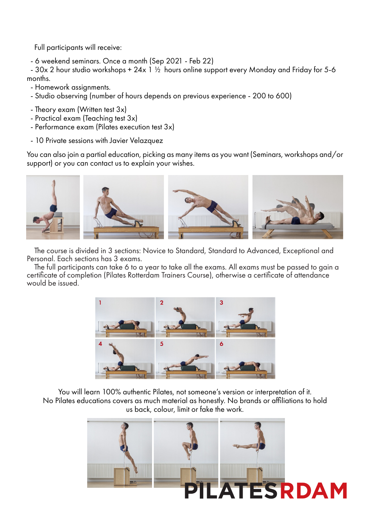Full participants will receive:

- 6 weekend seminars. Once a month (Sep 2021 - Feb 22)

- 30x 2 hour studio workshops + 24x 1  $\frac{1}{2}$  hours online support every Monday and Friday for 5-6 months.

- Homework assignments.
- Studio observing (number of hours depends on previous experience 200 to 600)
- Theory exam (Written test 3x)
- Practical exam (Teaching test 3x)
- Performance exam (Pilates execution test 3x)
- 10 Private sessions with Javier Velazquez

You can also join a partial education, picking as many items as you want (Seminars, workshops and/or support) or you can contact us to explain your wishes.



The course is divided in 3 sections: Novice to Standard, Standard to Advanced, Exceptional and Personal. Each sections has 3 exams.

The full participants can take 6 to a year to take all the exams. All exams must be passed to gain a certificate of completion (Pilates Rotterdam Trainers Course), otherwise a certificate of attendance would be issued.



You will learn 100% authentic Pilates, not someone's version or interpretation of it. No Pilates educations covers as much material as honestly. No brands or affiliations to hold us back, colour, limit or fake the work.

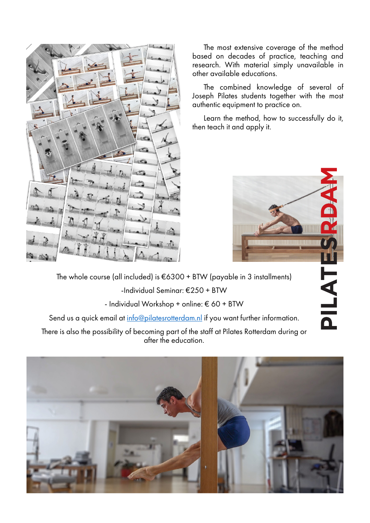

The most extensive coverage of the method based on decades of practice, teaching and research. With material simply unavailable in other available educations.

The combined knowledge of several of Joseph Pilates students together with the most authentic equipment to practice on.

Learn the method, how to successfully do it, then teach it and apply it.



The whole course (all included) is €6300 + BTW (payable in 3 installments) -Individual Seminar: €250 + BTW

- Individual Workshop + online: € 60 + BTW

Send us a quick email at info@pilatesrotterdam.nl if you want further information.

There is also the possibility of becoming part of the staff at Pilates Rotterdam during or after the education.